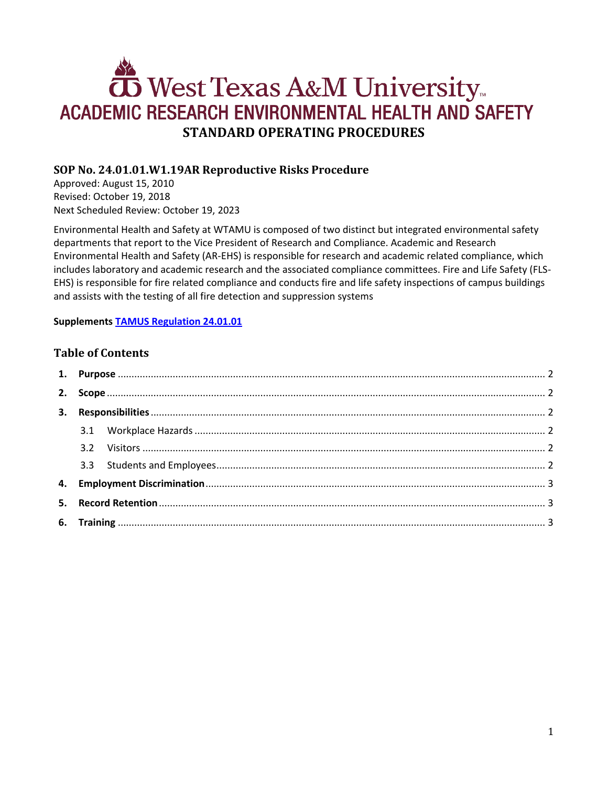# West Texas A&M University ACADEMIC RESEARCH ENVIRONMENTAL HEALTH AND SAFETY **STANDARD OPERATING PROCEDURES**

# **SOP No. 24.01.01.W1.19AR Reproductive Risks Procedure**

Approved: August 15, 2010 Revised: October 19, 2018 Next Scheduled Review: October 19, 2023

Environmental Health and Safety at WTAMU is composed of two distinct but integrated environmental safety departments that report to the Vice President of Research and Compliance. Academic and Research Environmental Health and Safety (AR-EHS) is responsible for research and academic related compliance, which includes laboratory and academic research and the associated compliance committees. Fire and Life Safety (FLS-EHS) is responsible for fire related compliance and conducts fire and life safety inspections of campus buildings and assists with the testing of all fire detection and suppression systems

## **Supplements [TAMUS Regulation 24.01.01](http://policies.tamus.edu/24-01-01.pdf)**

# **Table of Contents**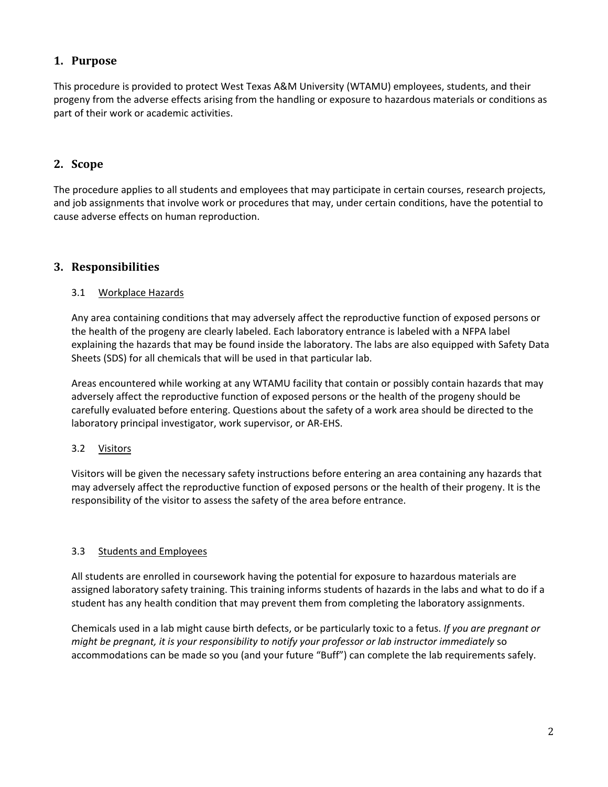# <span id="page-1-0"></span>**1. Purpose**

This procedure is provided to protect West Texas A&M University (WTAMU) employees, students, and their progeny from the adverse effects arising from the handling or exposure to hazardous materials or conditions as part of their work or academic activities.

# <span id="page-1-1"></span>**2. Scope**

The procedure applies to all students and employees that may participate in certain courses, research projects, and job assignments that involve work or procedures that may, under certain conditions, have the potential to cause adverse effects on human reproduction.

## <span id="page-1-2"></span>**3. Responsibilities**

#### <span id="page-1-3"></span>3.1 Workplace Hazards

Any area containing conditions that may adversely affect the reproductive function of exposed persons or the health of the progeny are clearly labeled. Each laboratory entrance is labeled with a NFPA label explaining the hazards that may be found inside the laboratory. The labs are also equipped with Safety Data Sheets (SDS) for all chemicals that will be used in that particular lab.

Areas encountered while working at any WTAMU facility that contain or possibly contain hazards that may adversely affect the reproductive function of exposed persons or the health of the progeny should be carefully evaluated before entering. Questions about the safety of a work area should be directed to the laboratory principal investigator, work supervisor, or AR-EHS.

## <span id="page-1-4"></span>3.2 Visitors

Visitors will be given the necessary safety instructions before entering an area containing any hazards that may adversely affect the reproductive function of exposed persons or the health of their progeny. It is the responsibility of the visitor to assess the safety of the area before entrance.

#### <span id="page-1-5"></span>3.3 Students and Employees

All students are enrolled in coursework having the potential for exposure to hazardous materials are assigned laboratory safety training. This training informs students of hazards in the labs and what to do if a student has any health condition that may prevent them from completing the laboratory assignments.

Chemicals used in a lab might cause birth defects, or be particularly toxic to a fetus. *If you are pregnant or might be pregnant, it is your responsibility to notify your professor or lab instructor immediately* so accommodations can be made so you (and your future "Buff") can complete the lab requirements safely.